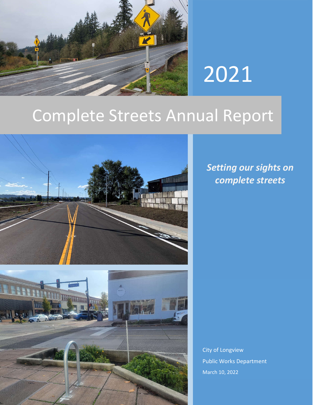

# 2021

## Complete Streets Annual Report



*Setting our sights on complete streets*

2022 Complete Street Street Street Street Street Street Street Street Street Street Street Street Street Street City of Longview Public Works Department March 10, 2022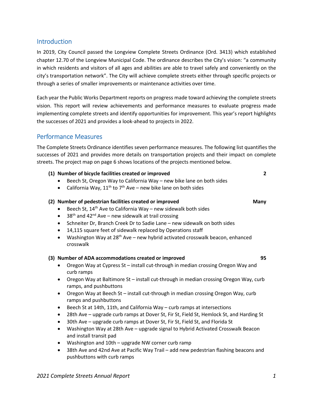#### **Introduction**

In 2019, City Council passed the Longview Complete Streets Ordinance (Ord. 3413) which established chapter 12.70 of the Longview Municipal Code. The ordinance describes the City's vision: "a community in which residents and visitors of all ages and abilities are able to travel safely and conveniently on the city's transportation network". The City will achieve complete streets either through specific projects or through a series of smaller improvements or maintenance activities over time.

Each year the Public Works Department reports on progress made toward achieving the complete streets vision. This report will review achievements and performance measures to evaluate progress made implementing complete streets and identify opportunities for improvement. This year's report highlights the successes of 2021 and provides a look-ahead to projects in 2022.

#### Performance Measures

The Complete Streets Ordinance identifies seven performance measures. The following list quantifies the successes of 2021 and provides more details on transportation projects and their impact on complete streets. The project map on page 6 shows locations of the projects mentioned below.

#### **(1) Number of bicycle facilities created or improved 2**

- Beech St, Oregon Way to California Way new bike lane on both sides
- California Way,  $11^{th}$  to  $7^{th}$  Ave new bike lane on both sides

#### **(2) Number of pedestrian facilities created or improved Many**

- Beech St,  $14<sup>th</sup>$  Ave to California Way new sidewalk both sides
- $38<sup>th</sup>$  and 42<sup>nd</sup> Ave new sidewalk at trail crossing
- Schneiter Dr, Branch Creek Dr to Sadie Lane new sidewalk on both sides
- 14,115 square feet of sidewalk replaced by Operations staff
- Washington Way at 28<sup>th</sup> Ave new hybrid activated crosswalk beacon, enhanced crosswalk

#### **(3) Number of ADA accommodations created or improved 95**

- Oregon Way at Cypress St install cut-through in median crossing Oregon Way and curb ramps
- Oregon Way at Baltimore St install cut-through in median crossing Oregon Way, curb ramps, and pushbuttons
- Oregon Way at Beech St install cut-through in median crossing Oregon Way, curb ramps and pushbuttons
- Beech St at 14th, 11th, and California Way curb ramps at intersections
- 28th Ave upgrade curb ramps at Dover St, Fir St, Field St, Hemlock St, and Harding St
- 30th Ave upgrade curb ramps at Dover St, Fir St, Field St, and Florida St
- Washington Way at 28th Ave upgrade signal to Hybrid Activated Crosswalk Beacon and install transit pad
- Washington and 10th upgrade NW corner curb ramp
- 38th Ave and 42nd Ave at Pacific Way Trail add new pedestrian flashing beacons and pushbuttons with curb ramps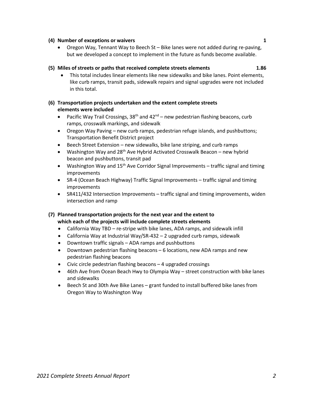## *2021 Complete Streets Annual Report 2*

#### **(4) Number of exceptions or waivers 1**

 Oregon Way, Tennant Way to Beech St – Bike lanes were not added during re-paving, but we developed a concept to implement in the future as funds become available.

#### **(5) Miles of streets or paths that received complete streets elements 1.86**

 This total includes linear elements like new sidewalks and bike lanes. Point elements, like curb ramps, transit pads, sidewalk repairs and signal upgrades were not included in this total.

#### **(6) Transportation projects undertaken and the extent complete streets elements were included**

- Pacific Way Trail Crossings,  $38<sup>th</sup>$  and  $42<sup>nd</sup>$  new pedestrian flashing beacons, curb ramps, crosswalk markings, and sidewalk
- Oregon Way Paving new curb ramps, pedestrian refuge islands, and pushbuttons; Transportation Benefit District project
- Beech Street Extension new sidewalks, bike lane striping, and curb ramps
- Washington Way and  $28<sup>th</sup>$  Ave Hybrid Activated Crosswalk Beacon new hybrid beacon and pushbuttons, transit pad
- Washington Way and  $15<sup>th</sup>$  Ave Corridor Signal Improvements traffic signal and timing improvements
- SR-4 (Ocean Beach Highway) Traffic Signal Improvements traffic signal and timing improvements
- SR411/432 Intersection Improvements traffic signal and timing improvements, widen intersection and ramp

#### **(7) Planned transportation projects for the next year and the extent to which each of the projects will include complete streets elements**

- California Way TBD re-stripe with bike lanes, ADA ramps, and sidewalk infill
- California Way at Industrial Way/SR-432 2 upgraded curb ramps, sidewalk
- Downtown traffic signals ADA ramps and pushbuttons
- Downtown pedestrian flashing beacons 6 locations, new ADA ramps and new pedestrian flashing beacons
- Civic circle pedestrian flashing beacons 4 upgraded crossings
- 46th Ave from Ocean Beach Hwy to Olympia Way street construction with bike lanes and sidewalks
- Beech St and 30th Ave Bike Lanes grant funded to install buffered bike lanes from Oregon Way to Washington Way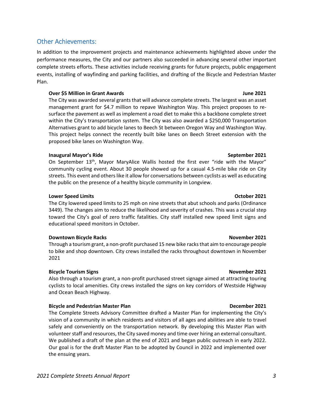## Other Achievements:

In addition to the improvement projects and maintenance achievements highlighted above under the performance measures, the City and our partners also succeeded in advancing several other important complete streets efforts. These activities include receiving grants for future projects, public engagement events, installing of wayfinding and parking facilities, and drafting of the Bicycle and Pedestrian Master Plan.

#### **Over \$5 Million in Grant Awards June 2021**

The City was awarded several grants that will advance complete streets. The largest was an asset management grant for \$4.7 million to repave Washington Way. This project proposes to resurface the pavement as well as implement a road diet to make this a backbone complete street within the City's transportation system. The City was also awarded a \$250,000 Transportation Alternatives grant to add bicycle lanes to Beech St between Oregon Way and Washington Way. This project helps connect the recently built bike lanes on Beech Street extension with the proposed bike lanes on Washington Way.

#### **Inaugural Mayor's Ride September 2021**

On September 13<sup>th</sup>, Mayor MaryAlice Wallis hosted the first ever "ride with the Mayor" community cycling event. About 30 people showed up for a casual 4.5-mile bike ride on City streets. This event and others like it allow for conversations between cyclists as well as educating the public on the presence of a healthy bicycle community in Longview.

#### **Lower Speed Limits October 2021**

The City lowered speed limits to 25 mph on nine streets that abut schools and parks (Ordinance 3449). The changes aim to reduce the likelihood and severity of crashes. This was a crucial step toward the City's goal of zero traffic fatalities. City staff installed new speed limit signs and educational speed monitors in October.

#### **Downtown Bicycle Racks November 2021**

Through a tourism grant, a non-profit purchased 15 new bike racks that aim to encourage people to bike and shop downtown. City crews installed the racks throughout downtown in November 2021

#### **Bicycle Tourism Signs November 2021**

Also through a tourism grant, a non-profit purchased street signage aimed at attracting touring cyclists to local amenities. City crews installed the signs on key corridors of Westside Highway and Ocean Beach Highway.

#### **Bicycle and Pedestrian Master Plan December 2021**

The Complete Streets Advisory Committee drafted a Master Plan for implementing the City's vision of a community in which residents and visitors of all ages and abilities are able to travel safely and conveniently on the transportation network. By developing this Master Plan with volunteer staff and resources, the City saved money and time over hiring an external consultant. We published a draft of the plan at the end of 2021 and began public outreach in early 2022. Our goal is for the draft Master Plan to be adopted by Council in 2022 and implemented over the ensuing years.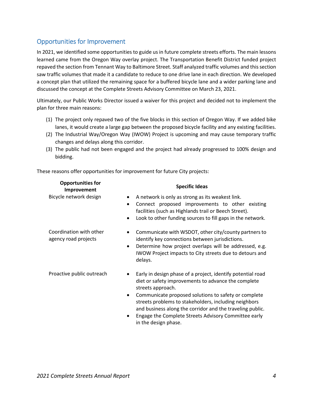### Opportunities for Improvement

**Opportunities for**

In 2021, we identified some opportunities to guide us in future complete streets efforts. The main lessons learned came from the Oregon Way overlay project. The Transportation Benefit District funded project repaved the section from Tennant Way to Baltimore Street. Staff analyzed traffic volumes and this section saw traffic volumes that made it a candidate to reduce to one drive lane in each direction. We developed a concept plan that utilized the remaining space for a buffered bicycle lane and a wider parking lane and discussed the concept at the Complete Streets Advisory Committee on March 23, 2021.

Ultimately, our Public Works Director issued a waiver for this project and decided not to implement the plan for three main reasons:

- (1) The project only repaved two of the five blocks in this section of Oregon Way. If we added bike lanes, it would create a large gap between the proposed bicycle facility and any existing facilities.
- (2) The Industrial Way/Oregon Way (IWOW) Project is upcoming and may cause temporary traffic changes and delays along this corridor.
- (3) The public had not been engaged and the project had already progressed to 100% design and bidding.

These reasons offer opportunities for improvement for future City projects:

| <b>Opportunities</b> for<br>Improvement         | <b>Specific Ideas</b>                                                                                                                                                                                                                                                                                                                                                                                                                        |
|-------------------------------------------------|----------------------------------------------------------------------------------------------------------------------------------------------------------------------------------------------------------------------------------------------------------------------------------------------------------------------------------------------------------------------------------------------------------------------------------------------|
| Bicycle network design                          | A network is only as strong as its weakest link.<br>$\bullet$<br>Connect proposed improvements to other existing<br>$\bullet$<br>facilities (such as Highlands trail or Beech Street).<br>Look to other funding sources to fill gaps in the network.<br>٠                                                                                                                                                                                    |
| Coordination with other<br>agency road projects | Communicate with WSDOT, other city/county partners to<br>$\bullet$<br>identify key connections between jurisdictions.<br>Determine how project overlaps will be addressed, e.g.<br>$\bullet$<br>IWOW Project impacts to City streets due to detours and<br>delays.                                                                                                                                                                           |
| Proactive public outreach                       | Early in design phase of a project, identify potential road<br>$\bullet$<br>diet or safety improvements to advance the complete<br>streets approach.<br>Communicate proposed solutions to safety or complete<br>$\bullet$<br>streets problems to stakeholders, including neighbors<br>and business along the corridor and the traveling public.<br>Engage the Complete Streets Advisory Committee early<br>$\bullet$<br>in the design phase. |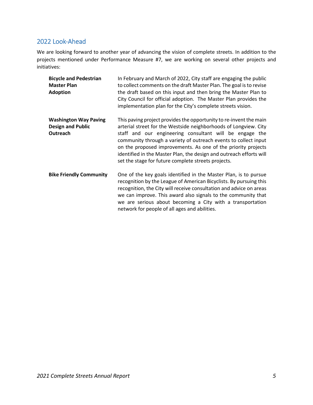#### 2022 Look-Ahead

We are looking forward to another year of advancing the vision of complete streets. In addition to the projects mentioned under Performance Measure #7, we are working on several other projects and initiatives:

| <b>Bicycle and Pedestrian</b><br><b>Master Plan</b><br><b>Adoption</b>      | In February and March of 2022, City staff are engaging the public<br>to collect comments on the draft Master Plan. The goal is to revise<br>the draft based on this input and then bring the Master Plan to<br>City Council for official adoption. The Master Plan provides the<br>implementation plan for the City's complete streets vision.                                                                                                                      |
|-----------------------------------------------------------------------------|---------------------------------------------------------------------------------------------------------------------------------------------------------------------------------------------------------------------------------------------------------------------------------------------------------------------------------------------------------------------------------------------------------------------------------------------------------------------|
| <b>Washington Way Paving</b><br><b>Design and Public</b><br><b>Outreach</b> | This paving project provides the opportunity to re-invent the main<br>arterial street for the Westside neighborhoods of Longview. City<br>staff and our engineering consultant will be engage the<br>community through a variety of outreach events to collect input<br>on the proposed improvements. As one of the priority projects<br>identified in the Master Plan, the design and outreach efforts will<br>set the stage for future complete streets projects. |
| <b>Bike Friendly Community</b>                                              | One of the key goals identified in the Master Plan, is to pursue<br>recognition by the League of American Bicyclists. By pursuing this<br>recognition, the City will receive consultation and advice on areas<br>we can improve. This award also signals to the community that<br>we are serious about becoming a City with a transportation                                                                                                                        |

network for people of all ages and abilities.